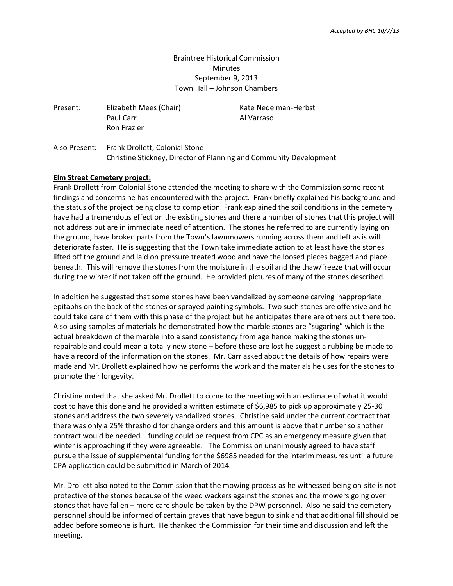# Braintree Historical Commission **Minutes** September 9, 2013 Town Hall – Johnson Chambers

Present: Elizabeth Mees (Chair) Kate Nedelman-Herbst Paul Carr **Al Varraso** Ron Frazier

Also Present: Frank Drollett, Colonial Stone Christine Stickney, Director of Planning and Community Development

#### **Elm Street Cemetery project:**

Frank Drollett from Colonial Stone attended the meeting to share with the Commission some recent findings and concerns he has encountered with the project. Frank briefly explained his background and the status of the project being close to completion. Frank explained the soil conditions in the cemetery have had a tremendous effect on the existing stones and there a number of stones that this project will not address but are in immediate need of attention. The stones he referred to are currently laying on the ground, have broken parts from the Town's lawnmowers running across them and left as is will deteriorate faster. He is suggesting that the Town take immediate action to at least have the stones lifted off the ground and laid on pressure treated wood and have the loosed pieces bagged and place beneath. This will remove the stones from the moisture in the soil and the thaw/freeze that will occur during the winter if not taken off the ground. He provided pictures of many of the stones described.

In addition he suggested that some stones have been vandalized by someone carving inappropriate epitaphs on the back of the stones or sprayed painting symbols. Two such stones are offensive and he could take care of them with this phase of the project but he anticipates there are others out there too. Also using samples of materials he demonstrated how the marble stones are "sugaring" which is the actual breakdown of the marble into a sand consistency from age hence making the stones unrepairable and could mean a totally new stone – before these are lost he suggest a rubbing be made to have a record of the information on the stones. Mr. Carr asked about the details of how repairs were made and Mr. Drollett explained how he performs the work and the materials he uses for the stones to promote their longevity.

Christine noted that she asked Mr. Drollett to come to the meeting with an estimate of what it would cost to have this done and he provided a written estimate of \$6,985 to pick up approximately 25-30 stones and address the two severely vandalized stones. Christine said under the current contract that there was only a 25% threshold for change orders and this amount is above that number so another contract would be needed – funding could be request from CPC as an emergency measure given that winter is approaching if they were agreeable. The Commission unanimously agreed to have staff pursue the issue of supplemental funding for the \$6985 needed for the interim measures until a future CPA application could be submitted in March of 2014.

Mr. Drollett also noted to the Commission that the mowing process as he witnessed being on-site is not protective of the stones because of the weed wackers against the stones and the mowers going over stones that have fallen – more care should be taken by the DPW personnel. Also he said the cemetery personnel should be informed of certain graves that have begun to sink and that additional fill should be added before someone is hurt. He thanked the Commission for their time and discussion and left the meeting.